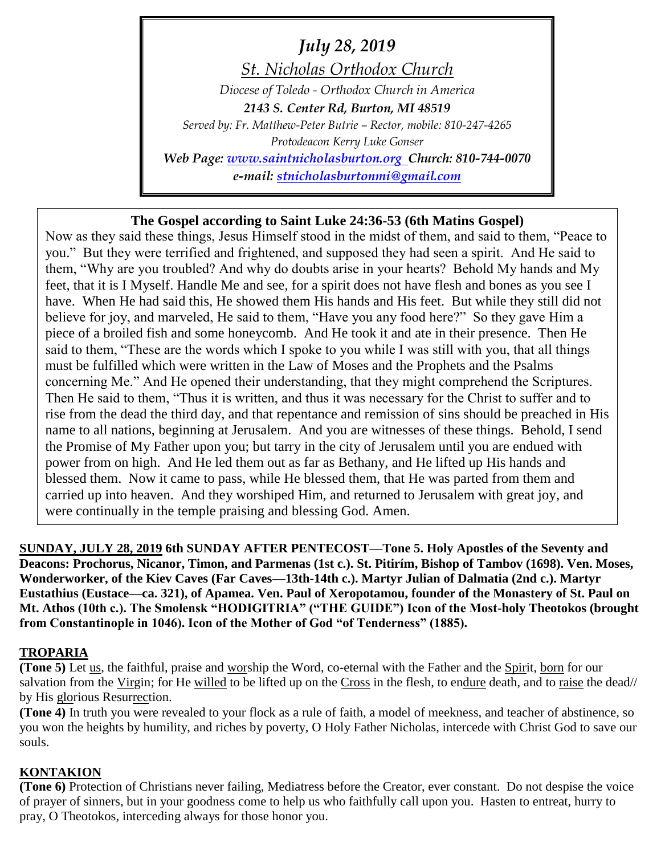*July 28, 2019*

*St. Nicholas Orthodox Church Diocese of Toledo - Orthodox Church in America 2143 S. Center Rd, Burton, MI 48519 Served by: Fr. Matthew-Peter Butrie – Rector, mobile: 810-247-4265 Protodeacon Kerry Luke Gonser Web Page: [www.saintnicholasburton.org](http://www.saintnicholasburton.org/) Church: 810-744-0070 e-mail: [stnicholasburtonmi@gmail.com](mailto:stnicholasburtonmi@gmail.com)*

# **The Gospel according to Saint Luke 24:36-53 (6th Matins Gospel)**

Now as they said these things, Jesus Himself stood in the midst of them, and said to them, "Peace to you." But they were terrified and frightened, and supposed they had seen a spirit. And He said to them, "Why are you troubled? And why do doubts arise in your hearts? Behold My hands and My feet, that it is I Myself. Handle Me and see, for a spirit does not have flesh and bones as you see I have. When He had said this, He showed them His hands and His feet. But while they still did not believe for joy, and marveled, He said to them, "Have you any food here?" So they gave Him a piece of a broiled fish and some honeycomb. And He took it and ate in their presence. Then He said to them, "These are the words which I spoke to you while I was still with you, that all things must be fulfilled which were written in the Law of Moses and the Prophets and the Psalms concerning Me." And He opened their understanding, that they might comprehend the Scriptures. Then He said to them, "Thus it is written, and thus it was necessary for the Christ to suffer and to rise from the dead the third day, and that repentance and remission of sins should be preached in His name to all nations, beginning at Jerusalem. And you are witnesses of these things. Behold, I send the Promise of My Father upon you; but tarry in the city of Jerusalem until you are endued with power from on high. And He led them out as far as Bethany, and He lifted up His hands and blessed them. Now it came to pass, while He blessed them, that He was parted from them and carried up into heaven. And they worshiped Him, and returned to Jerusalem with great joy, and were continually in the temple praising and blessing God. Amen.

**SUNDAY, JULY 28, 2019 6th SUNDAY AFTER PENTECOST—Tone 5. Holy Apostles of the Seventy and Deacons: Prochorus, Nicanor, Timon, and Parmenas (1st c.). St. Pitirím, Bishop of Tambov (1698). Ven. Moses, Wonderworker, of the Kiev Caves (Far Caves—13th-14th c.). Martyr Julian of Dalmatia (2nd c.). Martyr Eustathius (Eustace—ca. 321), of Apamea. Ven. Paul of Xeropotamou, founder of the Monastery of St. Paul on Mt. Athos (10th c.). The Smolensk "HODIGITRIA" ("THE GUIDE") Icon of the Most-holy Theotokos (brought from Constantinople in 1046). Icon of the Mother of God "of Tenderness" (1885).**

### **TROPARIA**

**(Tone 5)** Let us, the faithful, praise and worship the Word, co-eternal with the Father and the Spirit, born for our salvation from the Virgin; for He willed to be lifted up on the Cross in the flesh, to endure death, and to raise the dead// by His glorious Resurrection.

**(Tone 4)** In truth you were revealed to your flock as a rule of faith, a model of meekness, and teacher of abstinence, so you won the heights by humility, and riches by poverty, O Holy Father Nicholas, intercede with Christ God to save our souls.

# **KONTAKION**

**(Tone 6)** Protection of Christians never failing, Mediatress before the Creator, ever constant. Do not despise the voice of prayer of sinners, but in your goodness come to help us who faithfully call upon you. Hasten to entreat, hurry to pray, O Theotokos, interceding always for those honor you.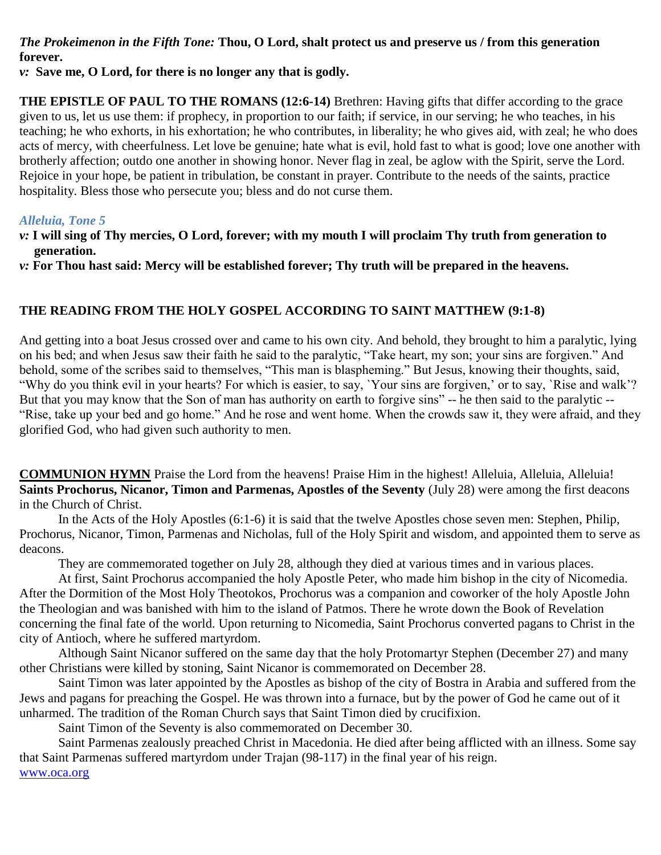## *The Prokeimenon in the Fifth Tone:* **Thou, O Lord, shalt protect us and preserve us / from this generation forever.**

*v:* **Save me, O Lord, for there is no longer any that is godly.** 

**THE EPISTLE OF PAUL TO THE ROMANS (12:6-14)** Brethren: Having gifts that differ according to the grace given to us, let us use them: if prophecy, in proportion to our faith; if service, in our serving; he who teaches, in his teaching; he who exhorts, in his exhortation; he who contributes, in liberality; he who gives aid, with zeal; he who does acts of mercy, with cheerfulness. Let love be genuine; hate what is evil, hold fast to what is good; love one another with brotherly affection; outdo one another in showing honor. Never flag in zeal, be aglow with the Spirit, serve the Lord. Rejoice in your hope, be patient in tribulation, be constant in prayer. Contribute to the needs of the saints, practice hospitality. Bless those who persecute you; bless and do not curse them.

### *Alleluia, Tone 5*

- *v:* **I will sing of Thy mercies, O Lord, forever; with my mouth I will proclaim Thy truth from generation to generation.**
- *v:* **For Thou hast said: Mercy will be established forever; Thy truth will be prepared in the heavens.**

## **THE READING FROM THE HOLY GOSPEL ACCORDING TO SAINT MATTHEW (9:1-8)**

And getting into a boat Jesus crossed over and came to his own city. And behold, they brought to him a paralytic, lying on his bed; and when Jesus saw their faith he said to the paralytic, "Take heart, my son; your sins are forgiven." And behold, some of the scribes said to themselves, "This man is blaspheming." But Jesus, knowing their thoughts, said, "Why do you think evil in your hearts? For which is easier, to say, `Your sins are forgiven,' or to say, `Rise and walk'? But that you may know that the Son of man has authority on earth to forgive sins" -- he then said to the paralytic -- "Rise, take up your bed and go home." And he rose and went home. When the crowds saw it, they were afraid, and they glorified God, who had given such authority to men.

**COMMUNION HYMN** Praise the Lord from the heavens! Praise Him in the highest! Alleluia, Alleluia, Alleluia! **Saints Prochorus, Nicanor, Timon and Parmenas, Apostles of the Seventy** (July 28) were among the first deacons in the Church of Christ.

In the Acts of the Holy Apostles (6:1-6) it is said that the twelve Apostles chose seven men: Stephen, Philip, Prochorus, Nicanor, Timon, Parmenas and Nicholas, full of the Holy Spirit and wisdom, and appointed them to serve as deacons.

They are commemorated together on July 28, although they died at various times and in various places.

At first, Saint Prochorus accompanied the holy Apostle Peter, who made him bishop in the city of Nicomedia. After the Dormition of the Most Holy Theotokos, Prochorus was a companion and coworker of the holy Apostle John the Theologian and was banished with him to the island of Patmos. There he wrote down the Book of Revelation concerning the final fate of the world. Upon returning to Nicomedia, Saint Prochorus converted pagans to Christ in the city of Antioch, where he suffered martyrdom.

Although Saint Nicanor suffered on the same day that the holy Protomartyr Stephen (December 27) and many other Christians were killed by stoning, Saint Nicanor is commemorated on December 28.

Saint Timon was later appointed by the Apostles as bishop of the city of Bostra in Arabia and suffered from the Jews and pagans for preaching the Gospel. He was thrown into a furnace, but by the power of God he came out of it unharmed. The tradition of the Roman Church says that Saint Timon died by crucifixion.

Saint Timon of the Seventy is also commemorated on December 30.

Saint Parmenas zealously preached Christ in Macedonia. He died after being afflicted with an illness. Some say that Saint Parmenas suffered martyrdom under Trajan (98-117) in the final year of his reign.

[www.oca.org](http://www.oca.org/)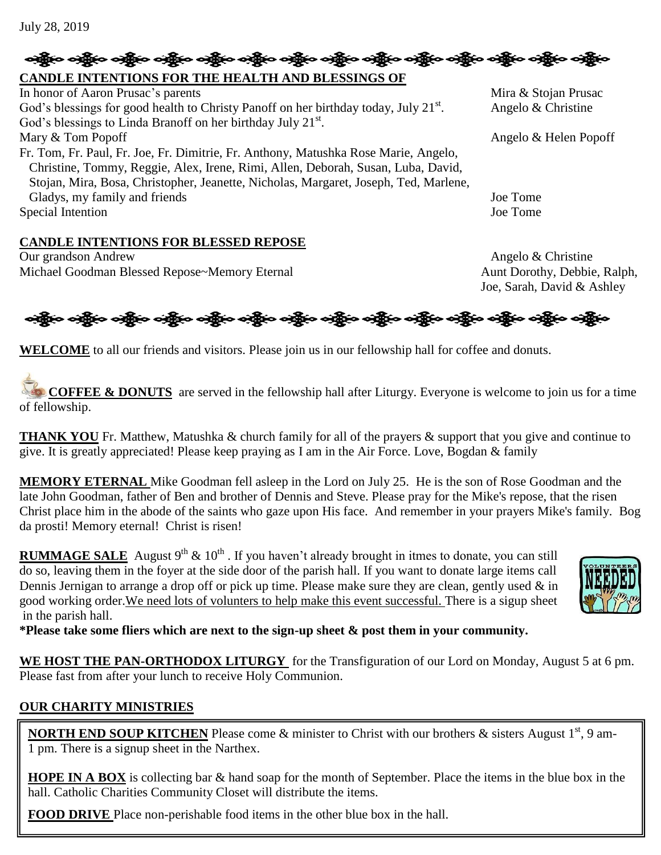# န္ကြိုးေခါင္ဆိုးေခါင္ဆိုးေခါင္း တစ္သိုးေခါင္း ခင္ဆိုးေခါင္ဆိုးေခါင္း ဆိုးလ္ကြယ္ေတြက ခင္ဆိုးေခါင္သိုးေခါင္း **CANDLE INTENTIONS FOR THE HEALTH AND BLESSINGS OF**

In honor of Aaron Prusac's parents Mira & Stojan Prusac God's blessings for good health to Christy Panoff on her birthday today, July  $21<sup>st</sup>$ . God's blessings to Linda Branoff on her birthday July 21 $st$ . Mary & Tom Popoff Angelo & Helen Popoff Fr. Tom, Fr. Paul, Fr. Joe, Fr. Dimitrie, Fr. Anthony, Matushka Rose Marie, Angelo, Christine, Tommy, Reggie, Alex, Irene, Rimi, Allen, Deborah, Susan, Luba, David, Stojan, Mira, Bosa, Christopher, Jeanette, Nicholas, Margaret, Joseph, Ted, Marlene, Gladys, my family and friends Joe Tome Special Intention Joe Tome

### **CANDLE INTENTIONS FOR BLESSED REPOSE**

Our grandson Andrew Angelo & Christine Michael Goodman Blessed Repose~Memory Eternal Aunt Dorothy, Debbie, Ralph,

. Angelo & Christine

Joe, Sarah, David & Ashley

નફ્રીંબ બફ્રીંબ બફ્રીંબ બફ્રીંબ બફ્રીંબ બફ્રીંબ બફ્રીંબ બફ્રીંબ બફ્રીંબ બફ્રીંબ બફ્રીંબ બફ્રીંબ બફ્રીંબ

**WELCOME** to all our friends and visitors. Please join us in our fellowship hall for coffee and donuts.

**COFFEE & DONUTS** are served in the fellowship hall after Liturgy. Everyone is welcome to join us for a time of fellowship.

**THANK YOU** Fr. Matthew, Matushka & church family for all of the prayers & support that you give and continue to give. It is greatly appreciated! Please keep praying as I am in the Air Force. Love, Bogdan & family

**MEMORY ETERNAL** Mike Goodman fell asleep in the Lord on July 25. He is the son of Rose Goodman and the late John Goodman, father of Ben and brother of Dennis and Steve. Please pray for the Mike's repose, that the risen Christ place him in the abode of the saints who gaze upon His face. And remember in your prayers Mike's family. Bog da prosti! Memory eternal! Christ is risen!

**RUMMAGE SALE** August 9<sup>th</sup> & 10<sup>th</sup>. If you haven't already brought in itmes to donate, you can still do so, leaving them in the foyer at the side door of the parish hall. If you want to donate large items call Dennis Jernigan to arrange a drop off or pick up time. Please make sure they are clean, gently used & in good working order.We need lots of volunters to help make this event successful. There is a sigup sheet in the parish hall.

**\*Please take some fliers which are next to the sign-up sheet & post them in your community.**

**WE HOST THE PAN-ORTHODOX LITURGY** for the Transfiguration of our Lord on Monday, August 5 at 6 pm. Please fast from after your lunch to receive Holy Communion.

### **OUR CHARITY MINISTRIES**

**NORTH END SOUP KITCHEN** Please come & minister to Christ with our brothers & sisters August 1<sup>st</sup>. 9 am-1 pm. There is a signup sheet in the Narthex.

**HOPE IN A BOX** is collecting bar & hand soap for the month of September. Place the items in the blue box in the hall. Catholic Charities Community Closet will distribute the items.

**FOOD DRIVE** Place non-perishable food items in the other blue box in the hall.